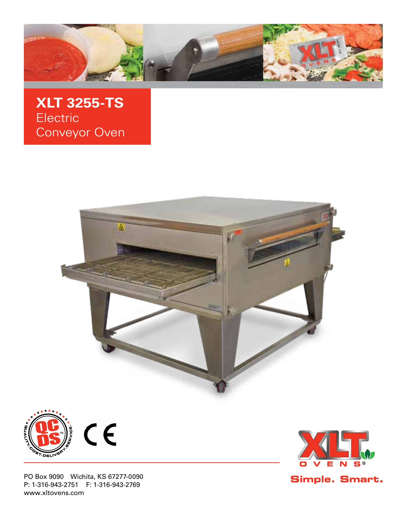

**XLT 3255-TS** Electric Conveyor Oven





PO Box 9090 Wichita, KS 67277-0090 P: 1-316-943-2751 F: 1-316-943-2769 www.xltovens.com



Simple. Smart.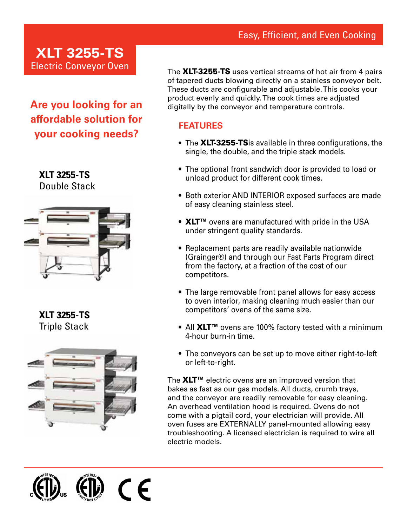### Easy, Efficient, and Even Cooking

# **XLT 3255-TS** Electric Conveyor Oven

**Are you looking for an affordable solution for your cooking needs?**

# **XLT 3255-TS**

Double Stack



**XLT 3255-TS** Triple Stack



The XLT-3255-TS uses vertical streams of hot air from 4 pairs of tapered ducts blowing directly on a stainless conveyor belt. These ducts are configurable and adjustable. This cooks your product evenly and quickly. The cook times are adjusted digitally by the conveyor and temperature controls.

#### **FEATURES**

- The XLT-3255-TSis available in three configurations, the single, the double, and the triple stack models.
- The optional front sandwich door is provided to load or unload product for different cook times.
- Both exterior AND INTERIOR exposed surfaces are made of easy cleaning stainless steel.
- XLT<sup>™</sup> ovens are manufactured with pride in the USA under stringent quality standards.
- Replacement parts are readily available nationwide (Grainger®) and through our Fast Parts Program direct from the factory, at a fraction of the cost of our competitors.
- The large removable front panel allows for easy access to oven interior, making cleaning much easier than our competitors' ovens of the same size.
- All XLT<sup>™</sup> ovens are 100% factory tested with a minimum 4-hour burn-in time.
- The conveyors can be set up to move either right-to-left or left-to-right.

The  $XLT^{m}$  electric ovens are an improved version that bakes as fast as our gas models. All ducts, crumb trays, and the conveyor are readily removable for easy cleaning. An overhead ventilation hood is required. Ovens do not come with a pigtail cord, your electrician will provide. All oven fuses are EXTERNALLY panel-mounted allowing easy troubleshooting. A licensed electrician is required to wire all electric models.

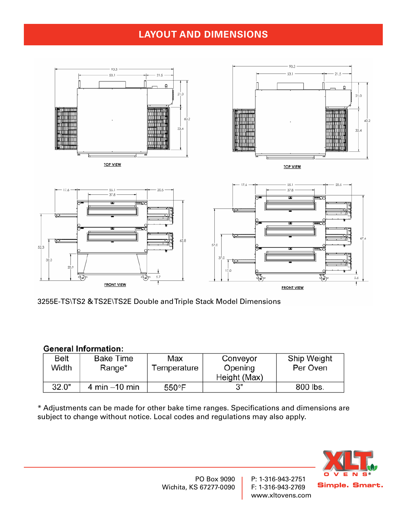### **LAYOUT AND DIMENSIONS**



3255E-TS\TS2 &TS2E\TS2E Double andTriple Stack Model Dimensions

#### **General Information:**

| Belt  | <b>Bake Time</b> | Max             | Conveyor     | Ship Weight |
|-------|------------------|-----------------|--------------|-------------|
| Width | Range*           | Temperature     | Opening      | Per Oven    |
|       |                  |                 | Height (Max) |             |
| 32.0" | 4 min $-10$ min  | $550^{\circ}$ F |              | 800 lbs.    |

\* Adjustments can be made for other bake time ranges. Specifications and dimensions are subject to change without notice. Local codes and regulations may also apply.



PO Box 9090 Wichita, KS 67277-0090